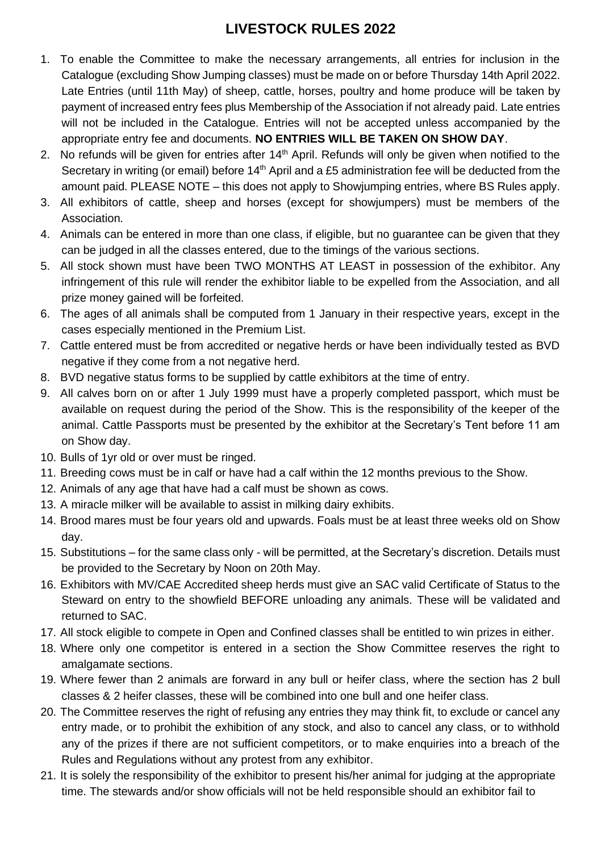## **LIVESTOCK RULES 2022**

- 1. To enable the Committee to make the necessary arrangements, all entries for inclusion in the Catalogue (excluding Show Jumping classes) must be made on or before Thursday 14th April 2022. Late Entries (until 11th May) of sheep, cattle, horses, poultry and home produce will be taken by payment of increased entry fees plus Membership of the Association if not already paid. Late entries will not be included in the Catalogue. Entries will not be accepted unless accompanied by the appropriate entry fee and documents. **NO ENTRIES WILL BE TAKEN ON SHOW DAY**.
- 2. No refunds will be given for entries after  $14<sup>th</sup>$  April. Refunds will only be given when notified to the Secretary in writing (or email) before  $14<sup>th</sup>$  April and a £5 administration fee will be deducted from the amount paid. PLEASE NOTE – this does not apply to Showjumping entries, where BS Rules apply.
- 3. All exhibitors of cattle, sheep and horses (except for showjumpers) must be members of the Association.
- 4. Animals can be entered in more than one class, if eligible, but no guarantee can be given that they can be judged in all the classes entered, due to the timings of the various sections.
- 5. All stock shown must have been TWO MONTHS AT LEAST in possession of the exhibitor. Any infringement of this rule will render the exhibitor liable to be expelled from the Association, and all prize money gained will be forfeited.
- 6. The ages of all animals shall be computed from 1 January in their respective years, except in the cases especially mentioned in the Premium List.
- 7. Cattle entered must be from accredited or negative herds or have been individually tested as BVD negative if they come from a not negative herd.
- 8. BVD negative status forms to be supplied by cattle exhibitors at the time of entry.
- 9. All calves born on or after 1 July 1999 must have a properly completed passport, which must be available on request during the period of the Show. This is the responsibility of the keeper of the animal. Cattle Passports must be presented by the exhibitor at the Secretary's Tent before 11 am on Show day.
- 10. Bulls of 1yr old or over must be ringed.
- 11. Breeding cows must be in calf or have had a calf within the 12 months previous to the Show.
- 12. Animals of any age that have had a calf must be shown as cows.
- 13. A miracle milker will be available to assist in milking dairy exhibits.
- 14. Brood mares must be four years old and upwards. Foals must be at least three weeks old on Show day.
- 15. Substitutions for the same class only will be permitted, at the Secretary's discretion. Details must be provided to the Secretary by Noon on 20th May.
- 16. Exhibitors with MV/CAE Accredited sheep herds must give an SAC valid Certificate of Status to the Steward on entry to the showfield BEFORE unloading any animals. These will be validated and returned to SAC.
- 17. All stock eligible to compete in Open and Confined classes shall be entitled to win prizes in either.
- 18. Where only one competitor is entered in a section the Show Committee reserves the right to amalgamate sections.
- 19. Where fewer than 2 animals are forward in any bull or heifer class, where the section has 2 bull classes & 2 heifer classes, these will be combined into one bull and one heifer class.
- 20. The Committee reserves the right of refusing any entries they may think fit, to exclude or cancel any entry made, or to prohibit the exhibition of any stock, and also to cancel any class, or to withhold any of the prizes if there are not sufficient competitors, or to make enquiries into a breach of the Rules and Regulations without any protest from any exhibitor.
- 21. It is solely the responsibility of the exhibitor to present his/her animal for judging at the appropriate time. The stewards and/or show officials will not be held responsible should an exhibitor fail to